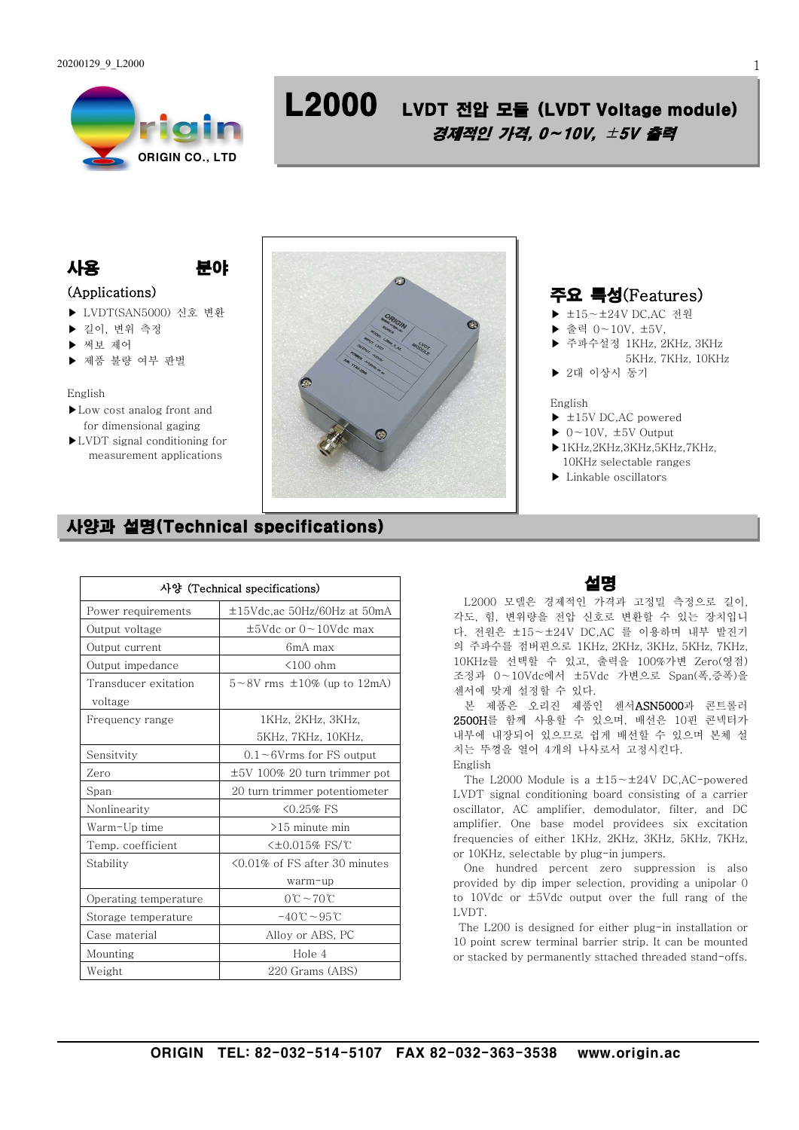

# L2000 LVDT 전압 모듈 (LVDT Voltage module) 경제적인 가격, 0∼10V, ±5V 출력

## 사용 분야

## (Applications)

- ▶ LVDT(SAN5000) 신호 변환
- ▶ 길이, 변위 측정
- ▶ 써보 제어
- ▶ 제품 불량 여부 판별

#### English

- ▶Low cost analog front and for dimensional gaging
- ▶LVDT signal conditioning for measurement applications



## 주요 특성(Features)

- ▶ ±15∼±24V DC,AC 전원
- ▶ 출력 0∼10V, ±5V,
- ▶ 주파수설정 1KHz, 2KHz, 3KHz 5KHz, 7KHz, 10KHz
- ▶ 2대 이상시 동기

#### English

- ▶ ±15V DC,AC powered
- ▶ 0∼10V, ±5V Output
- $\blacktriangleright$  1KHz,2KHz,3KHz,5KHz,7KHz, 10KHz selectable ranges
- ▶ Linkable oscillators

## 사양과 설명(Technical specifications)

| 사양 (Technical specifications)   |                                             |
|---------------------------------|---------------------------------------------|
| Power requirements              | $\pm 15$ Vdc, ac 50Hz/60Hz at 50mA          |
| Output voltage                  | $\pm$ 5Vdc or 0 ~ 10Vdc max                 |
| Output current                  | 6mA max                                     |
| Output impedance                | $\leq 100$ ohm                              |
| Transducer exitation<br>voltage | $5 \sim 8V$ rms $\pm 10\%$ (up to 12mA)     |
| Frequency range                 | 1KHz, 2KHz, 3KHz,                           |
|                                 | 5KHz, 7KHz, 10KHz,                          |
| Sensitvity                      | $0.1 \sim 6$ Vrms for FS output             |
| Zero                            | $\pm 5V$ 100% 20 turn trimmer pot           |
| Span                            | 20 turn trimmer potentiometer               |
| Nonlinearity                    | $50.25\%$ FS                                |
| Warm-Up time                    | $>15$ minute min                            |
| Temp. coefficient               | <±0.015% FS/℃                               |
| Stability                       | $\leq 0.01\%$ of FS after 30 minutes        |
|                                 | warm-up                                     |
| Operating temperature           | $0^{\circ}\text{C}$ ~ 70 $^{\circ}\text{C}$ |
| Storage temperature             | $-40^\circ$ C ~95 $\degree$ C               |
| Case material                   | Alloy or ABS, PC                            |
| Mounting                        | Hole 4                                      |
| Weight                          | 220 Grams (ABS)                             |

## 설명

L2000 모델은 경제적인 가격과 고정밀 측정으로 길이, 각도, 힘, 변위량을 전압 신호로 변환할 수 있는 장치입니 다. 전원은 ±15∼±24V DC,AC 를 이용하며 내부 발진기 의 주파수를 점버핀으로 1KHz, 2KHz, 3KHz, 5KHz, 7KHz, 10KHz를 선택할 수 있고, 출력을 100%가변 Zero(영점) 조정과 0∼10Vdc에서 ±5Vdc 가변으로 Span(폭,증폭)을 센서에 맞게 설정할 수 있다.

본 제품은 오리진 제품인 센서ASN5000과 콘트롤러 2500H를 함께 사용할 수 있으며, 배선은 10핀 콘넥터가 내부에 내장되어 있으므로 쉽게 배선할 수 있으며 본체 설 치는 뚜껑을 열어 4개의 나사로서 고정시킨다. English

The L2000 Module is a ±15∼±24V DC,AC-powered LVDT signal conditioning board consisting of a carrier oscillator, AC amplifier, demodulator, filter, and DC amplifier. One base model providees six excitation frequencies of either 1KHz, 2KHz, 3KHz, 5KHz, 7KHz, or 10KHz, selectable by plug-in jumpers.

One hundred percent zero suppression is also provided by dip imper selection, providing a unipolar 0 to 10Vdc or ±5Vdc output over the full rang of the LVDT.

The L200 is designed for either plug-in installation or 10 point screw terminal barrier strip. It can be mounted or stacked by permanently sttached threaded stand-offs.